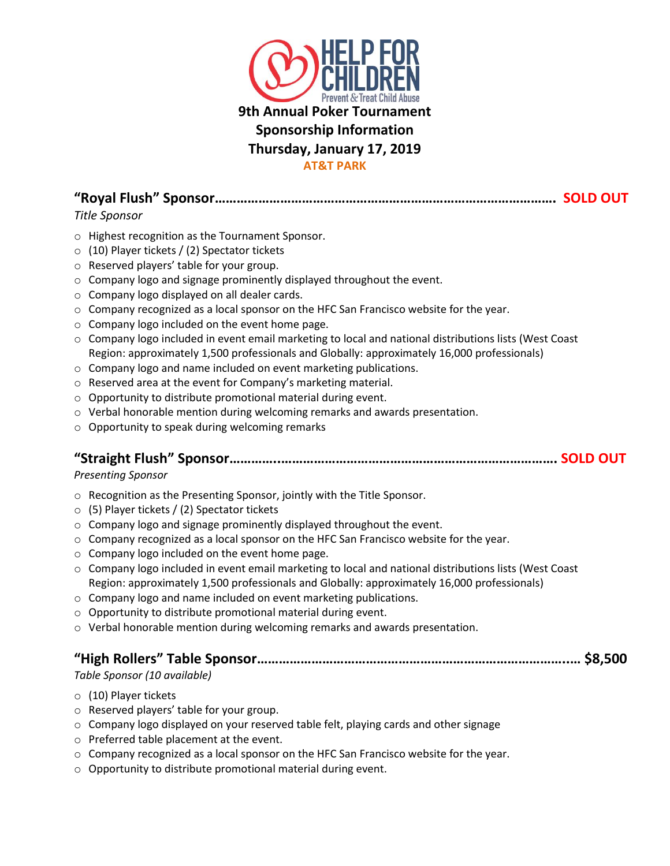

**"Royal Flush" Sponsor…………………………………………………………………………………. SOLD OUT** *Title Sponsor*

- o Highest recognition as the Tournament Sponsor.
- o (10) Player tickets / (2) Spectator tickets
- o Reserved players' table for your group.
- o Company logo and signage prominently displayed throughout the event.
- o Company logo displayed on all dealer cards.
- $\circ$  Company recognized as a local sponsor on the HFC San Francisco website for the year.
- o Company logo included on the event home page.
- $\circ$  Company logo included in event email marketing to local and national distributions lists (West Coast Region: approximately 1,500 professionals and Globally: approximately 16,000 professionals)
- o Company logo and name included on event marketing publications.
- o Reserved area at the event for Company's marketing material.
- o Opportunity to distribute promotional material during event.
- o Verbal honorable mention during welcoming remarks and awards presentation.
- o Opportunity to speak during welcoming remarks

#### **"Straight Flush" Sponsor…………..…………………………………………………………………. SOLD OUT**

#### *Presenting Sponsor*

- o Recognition as the Presenting Sponsor, jointly with the Title Sponsor.
- o (5) Player tickets / (2) Spectator tickets
- o Company logo and signage prominently displayed throughout the event.
- $\circ$  Company recognized as a local sponsor on the HFC San Francisco website for the year.
- o Company logo included on the event home page.
- $\circ$  Company logo included in event email marketing to local and national distributions lists (West Coast Region: approximately 1,500 professionals and Globally: approximately 16,000 professionals)
- o Company logo and name included on event marketing publications.
- o Opportunity to distribute promotional material during event.
- o Verbal honorable mention during welcoming remarks and awards presentation.

### **"High Rollers" Table Sponsor…………………………………………………………………………..… \$8,500**

#### *Table Sponsor (10 available)*

- o (10) Player tickets
- o Reserved players' table for your group.
- $\circ$  Company logo displayed on your reserved table felt, playing cards and other signage
- o Preferred table placement at the event.
- $\circ$  Company recognized as a local sponsor on the HFC San Francisco website for the year.
- o Opportunity to distribute promotional material during event.